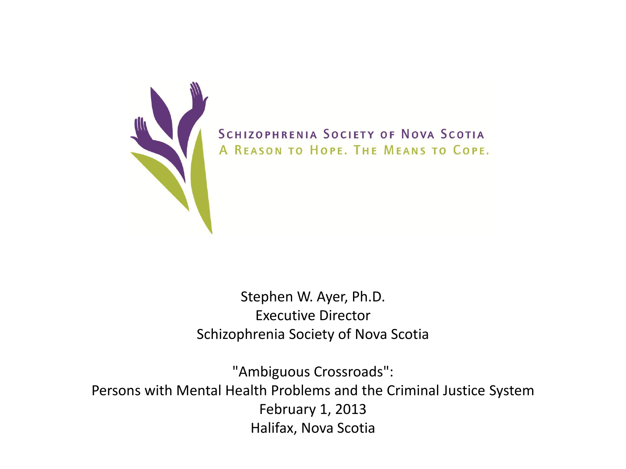

SCHIZOPHRENIA SOCIETY OF NOVA SCOTIA A REASON TO HOPE. THE MEANS TO COPE.

Stephen W. Ayer, Ph.D. Executive Director Schizophrenia Society of Nova Scotia

"Ambiguous Crossroads": Persons with Mental Health Problems and the Criminal Justice System February 1, 2013 Halifax, Nova Scotia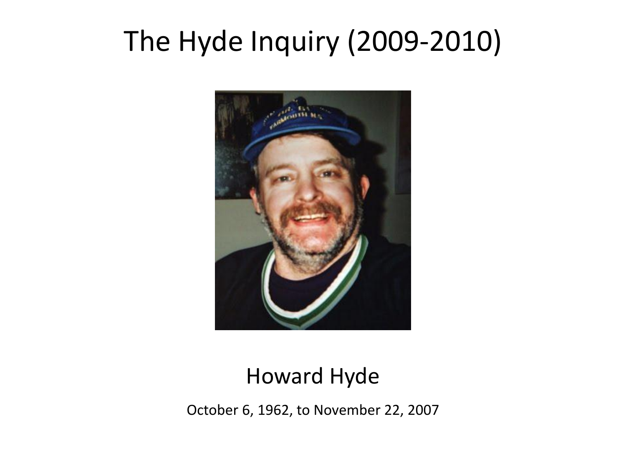## The Hyde Inquiry (2009-2010)



#### Howard Hyde

October 6, 1962, to November 22, 2007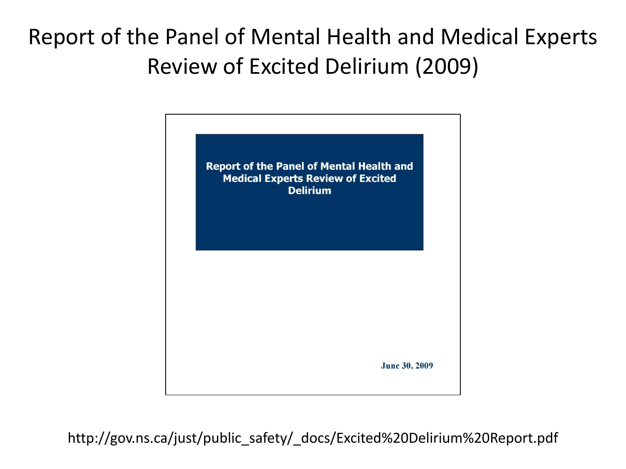#### Report of the Panel of Mental Health and Medical Experts Review of Excited Delirium (2009)



http://gov.ns.ca/just/public\_safety/\_docs/Excited%20Delirium%20Report.pdf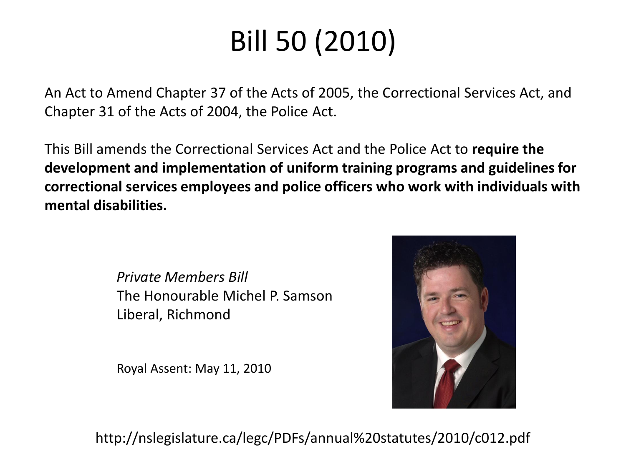# Bill 50 (2010)

An Act to Amend Chapter 37 of the Acts of 2005, the Correctional Services Act, and Chapter 31 of the Acts of 2004, the Police Act.

This Bill amends the Correctional Services Act and the Police Act to **require the development and implementation of uniform training programs and guidelines for correctional services employees and police officers who work with individuals with mental disabilities.** 

> *Private Members Bill* The Honourable Michel P. Samson Liberal, Richmond

Royal Assent: May 11, 2010



http://nslegislature.ca/legc/PDFs/annual%20statutes/2010/c012.pdf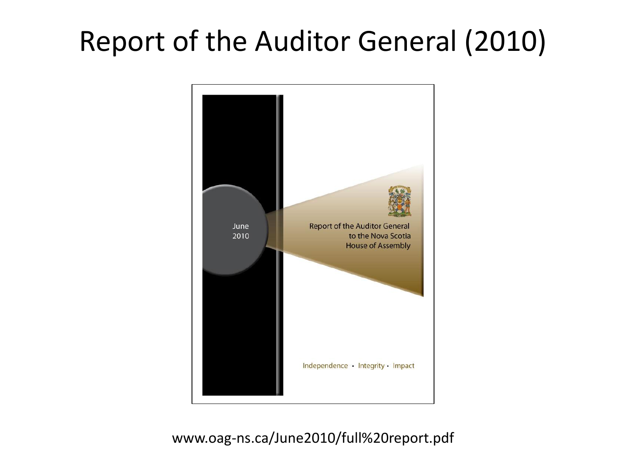## Report of the Auditor General (2010)



#### www.oag-ns.ca/June2010/full%20report.pdf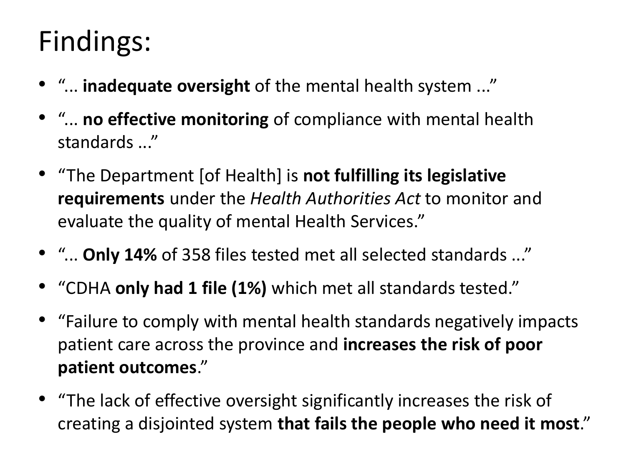## Findings:

- "... **inadequate oversight** of the mental health system ..."
- "... **no effective monitoring** of compliance with mental health standards ..."
- "The Department [of Health] is **not fulfilling its legislative requirements** under the *Health Authorities Act* to monitor and evaluate the quality of mental Health Services."
- "... **Only 14%** of 358 files tested met all selected standards ..."
- "CDHA **only had 1 file (1%)** which met all standards tested."
- "Failure to comply with mental health standards negatively impacts patient care across the province and **increases the risk of poor patient outcomes**."
- "The lack of effective oversight significantly increases the risk of creating a disjointed system **that fails the people who need it most**."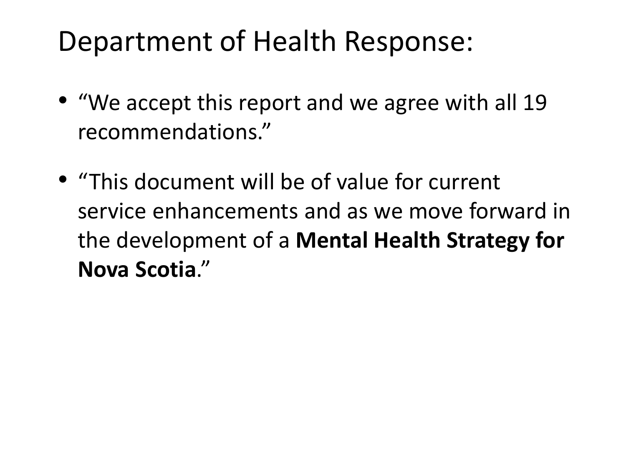### Department of Health Response:

- "We accept this report and we agree with all 19 recommendations."
- "This document will be of value for current service enhancements and as we move forward in the development of a **Mental Health Strategy for Nova Scotia**."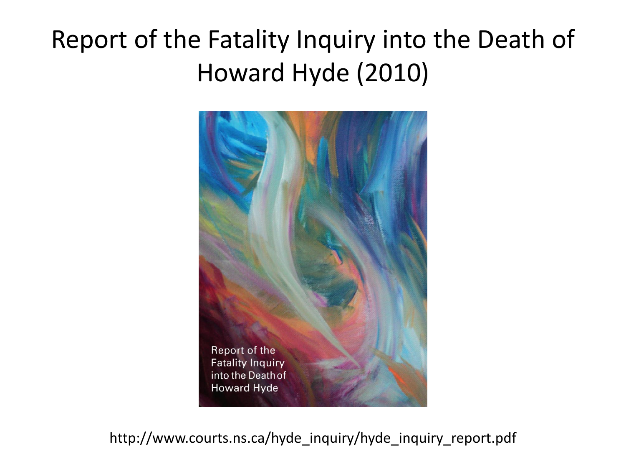### Report of the Fatality Inquiry into the Death of Howard Hyde (2010)



http://www.courts.ns.ca/hyde\_inquiry/hyde\_inquiry\_report.pdf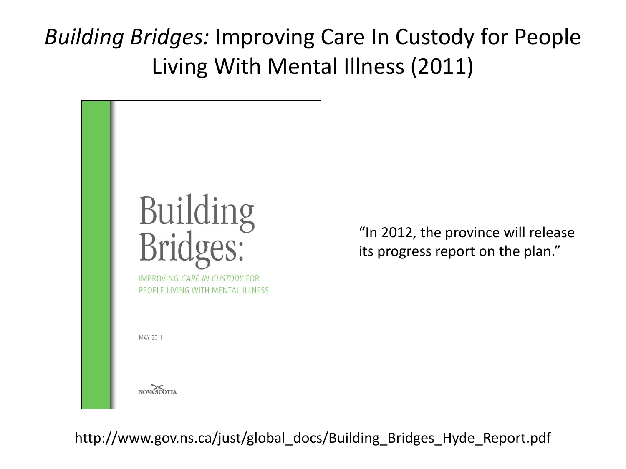*Building Bridges:* Improving Care In Custody for People Living With Mental Illness (2011)



"In 2012, the province will release its progress report on the plan."

http://www.gov.ns.ca/just/global\_docs/Building\_Bridges\_Hyde\_Report.pdf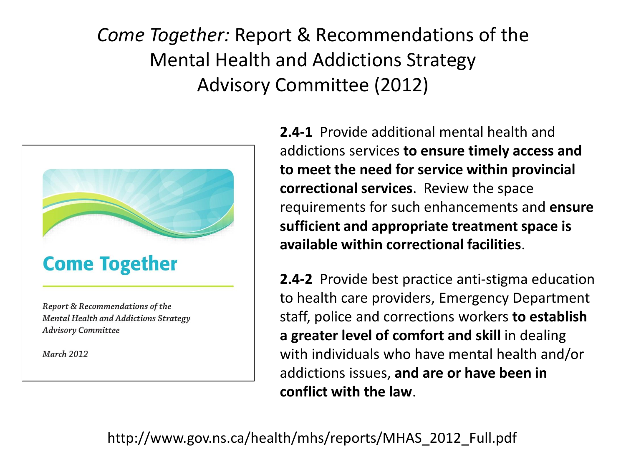#### *Come Together:* Report & Recommendations of the Mental Health and Addictions Strategy Advisory Committee (2012)



**2.4-1** Provide additional mental health and addictions services **to ensure timely access and to meet the need for service within provincial correctional services**. Review the space requirements for such enhancements and **ensure sufficient and appropriate treatment space is available within correctional facilities**.

**2.4-2** Provide best practice anti-stigma education to health care providers, Emergency Department staff, police and corrections workers **to establish a greater level of comfort and skill** in dealing with individuals who have mental health and/or addictions issues, **and are or have been in conflict with the law**.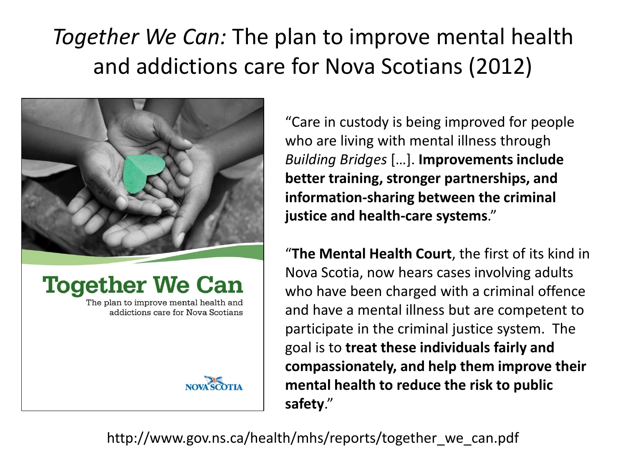### *Together We Can:* The plan to improve mental health and addictions care for Nova Scotians (2012)



#### **Together We Can**

The plan to improve mental health and addictions care for Nova Scotians



"Care in custody is being improved for people who are living with mental illness through *Building Bridges* […]. **Improvements include better training, stronger partnerships, and information-sharing between the criminal justice and health-care systems**."

"**The Mental Health Court**, the first of its kind in Nova Scotia, now hears cases involving adults who have been charged with a criminal offence and have a mental illness but are competent to participate in the criminal justice system. The goal is to **treat these individuals fairly and compassionately, and help them improve their mental health to reduce the risk to public safety**."

http://www.gov.ns.ca/health/mhs/reports/together\_we\_can.pdf